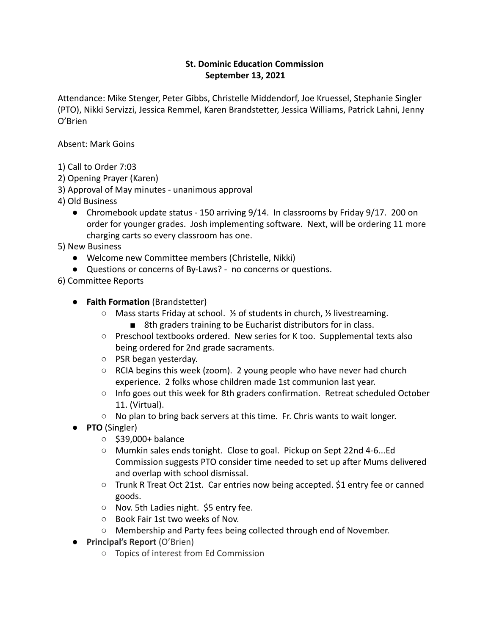## **St. Dominic Education Commission September 13, 2021**

Attendance: Mike Stenger, Peter Gibbs, Christelle Middendorf, Joe Kruessel, Stephanie Singler (PTO), Nikki Servizzi, Jessica Remmel, Karen Brandstetter, Jessica Williams, Patrick Lahni, Jenny O'Brien

Absent: Mark Goins

- 1) Call to Order 7:03
- 2) Opening Prayer (Karen)
- 3) Approval of May minutes unanimous approval
- 4) Old Business
	- Chromebook update status 150 arriving 9/14. In classrooms by Friday 9/17. 200 on order for younger grades. Josh implementing software. Next, will be ordering 11 more charging carts so every classroom has one.
- 5) New Business
	- Welcome new Committee members (Christelle, Nikki)
	- Questions or concerns of By-Laws? no concerns or questions.
- 6) Committee Reports

## ● **Faith Formation** (Brandstetter)

- Mass starts Friday at school. ½ of students in church, ½ livestreaming.
	- 8th graders training to be Eucharist distributors for in class.
- Preschool textbooks ordered. New series for K too. Supplemental texts also being ordered for 2nd grade sacraments.
- PSR began yesterday.
- RCIA begins this week (zoom). 2 young people who have never had church experience. 2 folks whose children made 1st communion last year.
- Info goes out this week for 8th graders confirmation. Retreat scheduled October 11. (Virtual).
- No plan to bring back servers at this time. Fr. Chris wants to wait longer.
- **PTO** (Singler)
	- \$39,000+ balance
	- Mumkin sales ends tonight. Close to goal. Pickup on Sept 22nd 4-6...Ed Commission suggests PTO consider time needed to set up after Mums delivered and overlap with school dismissal.
	- Trunk R Treat Oct 21st. Car entries now being accepted. \$1 entry fee or canned goods.
	- Nov. 5th Ladies night. \$5 entry fee.
	- Book Fair 1st two weeks of Nov.
	- Membership and Party fees being collected through end of November.
- **Principal's Report** (O'Brien)
	- Topics of interest from Ed Commission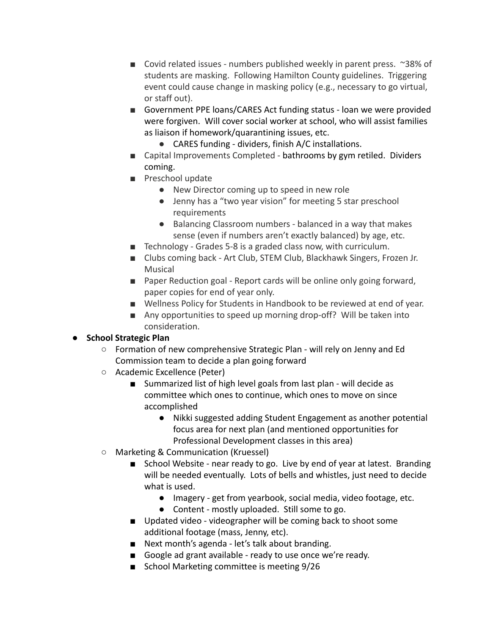- Covid related issues numbers published weekly in parent press. ~38% of students are masking. Following Hamilton County guidelines. Triggering event could cause change in masking policy (e.g., necessary to go virtual, or staff out).
- Government PPE loans/CARES Act funding status loan we were provided were forgiven. Will cover social worker at school, who will assist families as liaison if homework/quarantining issues, etc.
	- CARES funding dividers, finish A/C installations.
- Capital Improvements Completed bathrooms by gym retiled. Dividers coming.
- Preschool update
	- New Director coming up to speed in new role
	- Jenny has a "two year vision" for meeting 5 star preschool requirements
	- Balancing Classroom numbers balanced in a way that makes sense (even if numbers aren't exactly balanced) by age, etc.
- Technology Grades 5-8 is a graded class now, with curriculum.
- Clubs coming back Art Club, STEM Club, Blackhawk Singers, Frozen Jr. Musical
- Paper Reduction goal Report cards will be online only going forward, paper copies for end of year only.
- Wellness Policy for Students in Handbook to be reviewed at end of year.
- Any opportunities to speed up morning drop-off? Will be taken into consideration.

## ● **School Strategic Plan**

- Formation of new comprehensive Strategic Plan will rely on Jenny and Ed Commission team to decide a plan going forward
- Academic Excellence (Peter)
	- Summarized list of high level goals from last plan will decide as committee which ones to continue, which ones to move on since accomplished
		- Nikki suggested adding Student Engagement as another potential focus area for next plan (and mentioned opportunities for Professional Development classes in this area)
- Marketing & Communication (Kruessel)
	- School Website near ready to go. Live by end of year at latest. Branding will be needed eventually. Lots of bells and whistles, just need to decide what is used.
		- Imagery get from yearbook, social media, video footage, etc.
		- Content mostly uploaded. Still some to go.
	- Updated video videographer will be coming back to shoot some additional footage (mass, Jenny, etc).
	- Next month's agenda let's talk about branding.
	- Google ad grant available ready to use once we're ready.
	- School Marketing committee is meeting 9/26